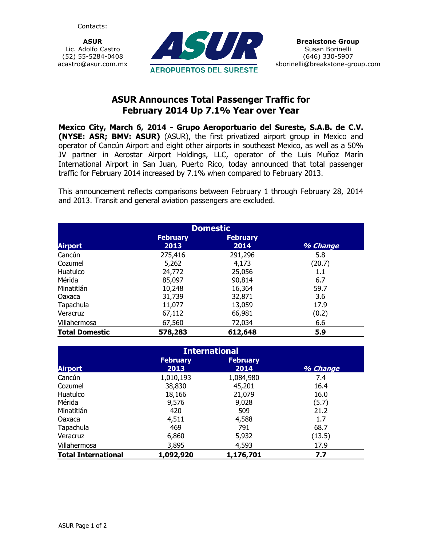Contacts:

ASUR Lic. Adolfo Castro (52) 55-5284-0408 acastro@asur.com.mx



## ASUR Announces Total Passenger Traffic for February 2014 Up 7.1% Year over Year

Mexico City, March 6, 2014 - Grupo Aeroportuario del Sureste, S.A.B. de C.V. (NYSE: ASR; BMV: ASUR) (ASUR), the first privatized airport group in Mexico and operator of Cancún Airport and eight other airports in southeast Mexico, as well as a 50% JV partner in Aerostar Airport Holdings, LLC, operator of the Luis Muñoz Marín International Airport in San Juan, Puerto Rico, today announced that total passenger traffic for February 2014 increased by 7.1% when compared to February 2013.

This announcement reflects comparisons between February 1 through February 28, 2014 and 2013. Transit and general aviation passengers are excluded.

| <b>Domestic</b>       |                         |                         |          |  |  |  |
|-----------------------|-------------------------|-------------------------|----------|--|--|--|
| <b>Airport</b>        | <b>February</b><br>2013 | <b>February</b><br>2014 | % Change |  |  |  |
| Cancún                | 275,416                 | 291,296                 | 5.8      |  |  |  |
| Cozumel               | 5,262                   | 4,173                   | (20.7)   |  |  |  |
| Huatulco              | 24,772                  | 25,056                  | $1.1\,$  |  |  |  |
| Mérida                | 85,097                  | 90,814                  | 6.7      |  |  |  |
| Minatitlán            | 10,248                  | 16,364                  | 59.7     |  |  |  |
| Oaxaca                | 31,739                  | 32,871                  | 3.6      |  |  |  |
| Tapachula             | 11,077                  | 13,059                  | 17.9     |  |  |  |
| Veracruz              | 67,112                  | 66,981                  | (0.2)    |  |  |  |
| Villahermosa          | 67,560                  | 72,034                  | 6.6      |  |  |  |
| <b>Total Domestic</b> | 578,283                 | 612,648                 | 5.9      |  |  |  |

| <b>International</b>       |                         |                         |          |  |  |  |
|----------------------------|-------------------------|-------------------------|----------|--|--|--|
| <b>Airport</b>             | <b>February</b><br>2013 | <b>February</b><br>2014 | % Change |  |  |  |
| Cancún                     | 1,010,193               | 1,084,980               | 7.4      |  |  |  |
| Cozumel                    | 38,830                  | 45,201                  | 16.4     |  |  |  |
| Huatulco                   | 18,166                  | 21,079                  | 16.0     |  |  |  |
| Mérida                     | 9,576                   | 9,028                   | (5.7)    |  |  |  |
| Minatitlán                 | 420                     | 509                     | 21.2     |  |  |  |
| Oaxaca                     | 4,511                   | 4,588                   | 1.7      |  |  |  |
| Tapachula                  | 469                     | 791                     | 68.7     |  |  |  |
| Veracruz                   | 6,860                   | 5,932                   | (13.5)   |  |  |  |
| Villahermosa               | 3,895                   | 4,593                   | 17.9     |  |  |  |
| <b>Total International</b> | 1,092,920               | 1,176,701               | 7.7      |  |  |  |